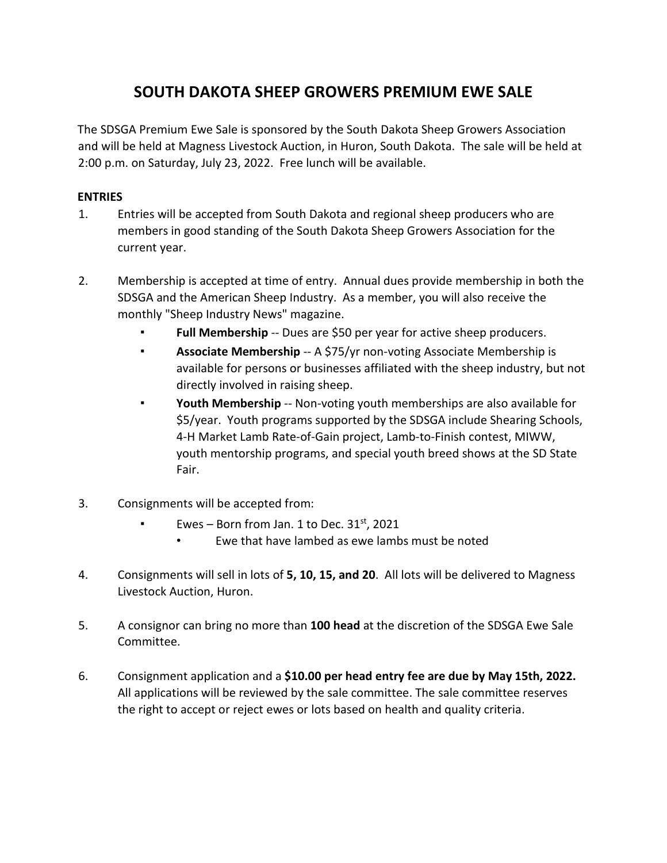# **SOUTH DAKOTA SHEEP GROWERS PREMIUM EWE SALE**

The SDSGA Premium Ewe Sale is sponsored by the South Dakota Sheep Growers Association and will be held at Magness Livestock Auction, in Huron, South Dakota. The sale will be held at 2:00 p.m. on Saturday, July 23, 2022. Free lunch will be available.

#### **ENTRIES**

- 1. Entries will be accepted from South Dakota and regional sheep producers who are members in good standing of the South Dakota Sheep Growers Association for the current year.
- 2. Membership is accepted at time of entry. Annual dues provide membership in both the SDSGA and the American Sheep Industry. As a member, you will also receive the monthly "Sheep Industry News" magazine.
	- Full Membership -- Dues are \$50 per year for active sheep producers.
	- **EXECT:** Associate Membership -- A \$75/yr non-voting Associate Membership is available for persons or businesses affiliated with the sheep industry, but not directly involved in raising sheep.
	- **Youth Membership** -- Non-voting youth memberships are also available for \$5/year. Youth programs supported by the SDSGA include Shearing Schools, 4-H Market Lamb Rate-of-Gain project, Lamb-to-Finish contest, MIWW, youth mentorship programs, and special youth breed shows at the SD State Fair.
- 3. Consignments will be accepted from:
	- Ewes Born from Jan. 1 to Dec.  $31<sup>st</sup>$ , 2021
		- Ewe that have lambed as ewe lambs must be noted
- 4. Consignments will sell in lots of **5, 10, 15, and 20**. All lots will be delivered to Magness Livestock Auction, Huron.
- 5. A consignor can bring no more than **100 head** at the discretion of the SDSGA Ewe Sale Committee.
- 6. Consignment application and a **\$10.00 per head entry fee are due by May 15th, 2022.** All applications will be reviewed by the sale committee. The sale committee reserves the right to accept or reject ewes or lots based on health and quality criteria.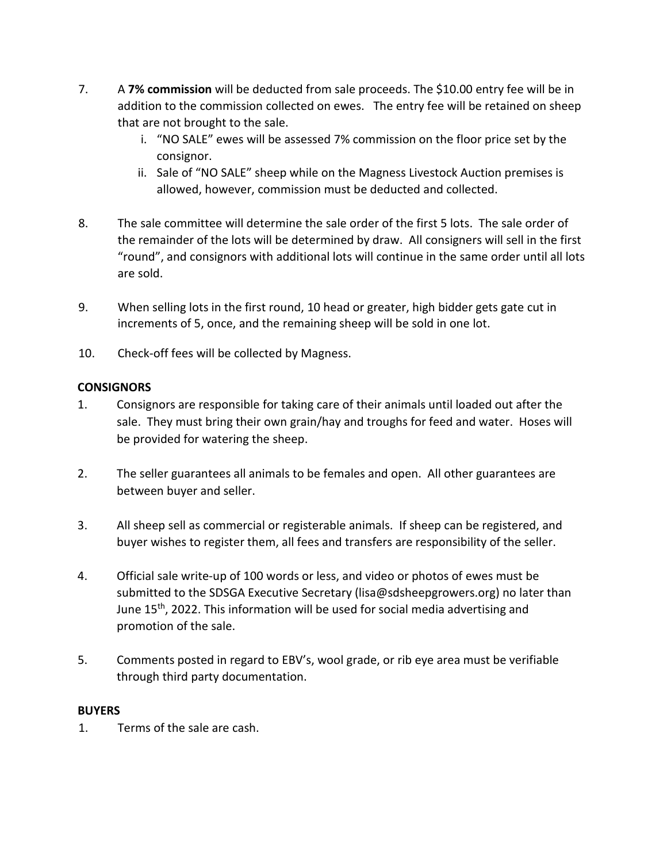- 7. A **7% commission** will be deducted from sale proceeds. The \$10.00 entry fee will be in addition to the commission collected on ewes. The entry fee will be retained on sheep that are not brought to the sale.
	- i. "NO SALE" ewes will be assessed 7% commission on the floor price set by the consignor.
	- ii. Sale of "NO SALE" sheep while on the Magness Livestock Auction premises is allowed, however, commission must be deducted and collected.
- 8. The sale committee will determine the sale order of the first 5 lots. The sale order of the remainder of the lots will be determined by draw. All consigners will sell in the first "round", and consignors with additional lots will continue in the same order until all lots are sold.
- 9. When selling lots in the first round, 10 head or greater, high bidder gets gate cut in increments of 5, once, and the remaining sheep will be sold in one lot.
- 10. Check-off fees will be collected by Magness.

## **CONSIGNORS**

- 1. Consignors are responsible for taking care of their animals until loaded out after the sale. They must bring their own grain/hay and troughs for feed and water. Hoses will be provided for watering the sheep.
- 2. The seller guarantees all animals to be females and open. All other guarantees are between buyer and seller.
- 3. All sheep sell as commercial or registerable animals. If sheep can be registered, and buyer wishes to register them, all fees and transfers are responsibility of the seller.
- 4. Official sale write-up of 100 words or less, and video or photos of ewes must be submitted to the SDSGA Executive Secretary (lisa@sdsheepgrowers.org) no later than June 15<sup>th</sup>, 2022. This information will be used for social media advertising and promotion of the sale.
- 5. Comments posted in regard to EBV's, wool grade, or rib eye area must be verifiable through third party documentation.

## **BUYERS**

1. Terms of the sale are cash.